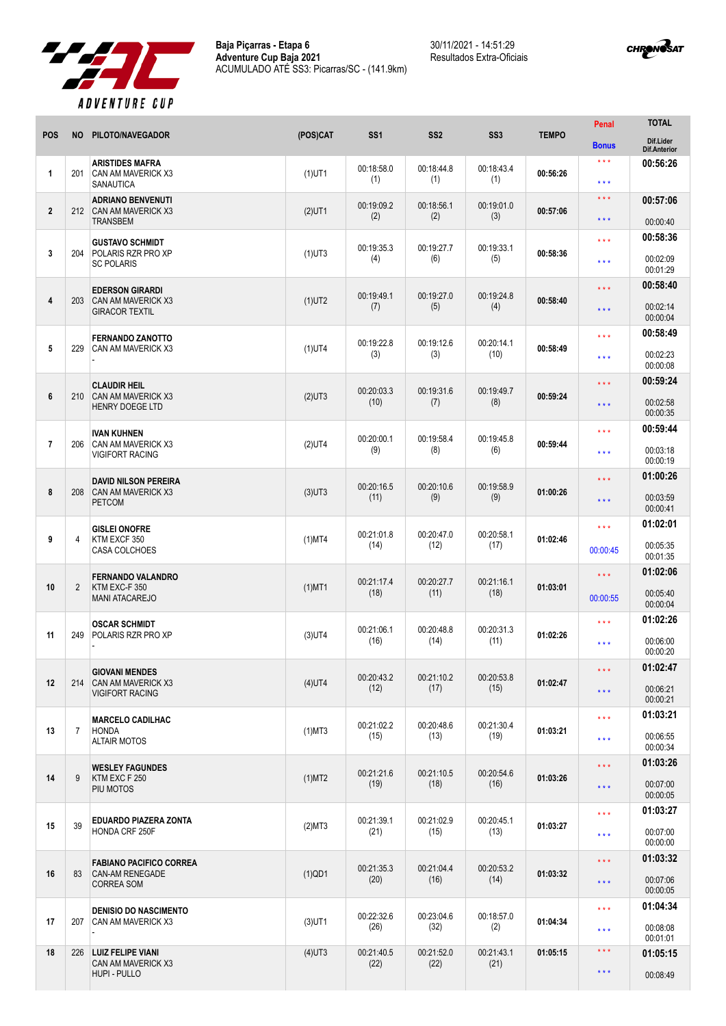

30/11/2021 - 14:51:29 Resultados Extra-Oficiais



| <b>POS</b>     | <b>NO</b>      | PILOTO/NAVEGADOR                                                              | (POS)CAT  | SS <sub>1</sub>    | SS <sub>2</sub>    | SS <sub>3</sub>    | <b>TEMPO</b> | <b>Penal</b>                                 | <b>TOTAL</b>                     |
|----------------|----------------|-------------------------------------------------------------------------------|-----------|--------------------|--------------------|--------------------|--------------|----------------------------------------------|----------------------------------|
|                |                |                                                                               |           |                    |                    |                    |              | <b>Bonus</b>                                 | Dif.Lider<br><b>Dif.Anterior</b> |
| 1              | 201            | <b>ARISTIDES MAFRA</b><br>CAN AM MAVERICK X3<br><b>SANAUTICA</b>              | $(1)$ UT1 | 00:18:58.0<br>(1)  | 00:18:44.8<br>(1)  | 00:18:43.4<br>(1)  | 00:56:26     | $\star\star\star$<br>***                     | 00:56:26                         |
| $\overline{2}$ | 212            | <b>ADRIANO BENVENUTI</b><br><b>CAN AM MAVERICK X3</b><br><b>TRANSBEM</b>      | $(2)$ UT1 | 00:19:09.2<br>(2)  | 00:18:56.1<br>(2)  | 00:19:01.0<br>(3)  | 00:57:06     | * * *<br>$***$                               | 00:57:06<br>00:00:40             |
| 3              | 204            | <b>GUSTAVO SCHMIDT</b><br>POLARIS RZR PRO XP<br><b>SC POLARIS</b>             | $(1)$ UT3 | 00:19:35.3<br>(4)  | 00:19:27.7<br>(6)  | 00:19:33.1<br>(5)  | 00:58:36     | * * *<br>* * *                               | 00:58:36<br>00:02:09<br>00:01:29 |
| 4              | 203            | <b>EDERSON GIRARDI</b><br>CAN AM MAVERICK X3<br><b>GIRACOR TEXTIL</b>         | $(1)$ UT2 | 00:19:49.1<br>(7)  | 00:19:27.0<br>(5)  | 00:19:24.8<br>(4)  | 00:58:40     | $\star \star \star$<br>$\star \star \star$   | 00:58:40<br>00:02:14<br>00:00:04 |
| 5              | 229            | <b>FERNANDO ZANOTTO</b><br>CAN AM MAVERICK X3                                 | $(1)$ UT4 | 00:19:22.8<br>(3)  | 00:19:12.6<br>(3)  | 00:20:14.1<br>(10) | 00:58:49     | * * *<br>* * *                               | 00:58:49<br>00:02:23<br>00:00:08 |
| 6              | 210            | <b>CLAUDIR HEIL</b><br>CAN AM MAVERICK X3<br><b>HENRY DOEGE LTD</b>           | $(2)$ UT3 | 00:20:03.3<br>(10) | 00:19:31.6<br>(7)  | 00:19:49.7<br>(8)  | 00:59:24     | * * *<br>***                                 | 00:59:24<br>00:02:58<br>00:00:35 |
| $\overline{7}$ | 206            | <b>IVAN KUHNEN</b><br>CAN AM MAVERICK X3<br><b>VIGIFORT RACING</b>            | $(2)$ UT4 | 00:20:00.1<br>(9)  | 00:19:58.4<br>(8)  | 00:19:45.8<br>(6)  | 00:59:44     | * * *<br>* * *                               | 00:59:44<br>00:03:18<br>00:00:19 |
| 8              | 208            | <b>DAVID NILSON PEREIRA</b><br>CAN AM MAVERICK X3<br><b>PETCOM</b>            | $(3)$ UT3 | 00:20:16.5<br>(11) | 00:20:10.6<br>(9)  | 00:19:58.9<br>(9)  | 01:00:26     | * * *<br>* * *                               | 01:00:26<br>00:03:59<br>00:00:41 |
| 9              | $\overline{4}$ | <b>GISLEI ONOFRE</b><br>KTM EXCF 350<br><b>CASA COLCHOES</b>                  | $(1)$ MT4 | 00:21:01.8<br>(14) | 00:20:47.0<br>(12) | 00:20:58.1<br>(17) | 01:02:46     | * * *<br>00:00:45                            | 01:02:01<br>00:05:35<br>00:01:35 |
| 10             | $\overline{2}$ | <b>FERNANDO VALANDRO</b><br>KTM EXC-F 350<br><b>MANI ATACAREJO</b>            | $(1)$ MT1 | 00:21:17.4<br>(18) | 00:20:27.7<br>(11) | 00:21:16.1<br>(18) | 01:03:01     | * * *<br>00:00:55                            | 01:02:06<br>00:05:40<br>00:00:04 |
| 11             | 249            | <b>OSCAR SCHMIDT</b><br>POLARIS RZR PRO XP                                    | $(3)$ UT4 | 00:21:06.1<br>(16) | 00:20:48.8<br>(14) | 00:20:31.3<br>(11) | 01:02:26     | * * *<br>$***$                               | 01:02:26<br>00:06:00<br>00:00:20 |
| 12             | 214            | <b>GIOVANI MENDES</b><br>CAN AM MAVERICK X3<br><b>VIGIFORT RACING</b>         | $(4)$ UT4 | 00:20:43.2<br>(12) | 00:21:10.2<br>(17) | 00:20:53.8<br>(15) | 01:02:47     | $\star \star \star$<br>$\star \star \star$   | 01:02:47<br>00:06:21<br>00:00:21 |
| 13             | $\overline{7}$ | <b>MARCELO CADILHAC</b><br><b>HONDA</b><br><b>ALTAIR MOTOS</b>                | $(1)$ MT3 | 00:21:02.2<br>(15) | 00:20:48.6<br>(13) | 00:21:30.4<br>(19) | 01:03:21     | $\star\star\star$<br>$\star \star \star$     | 01:03:21<br>00:06:55<br>00:00:34 |
| 14             | 9              | <b>WESLEY FAGUNDES</b><br>KTM EXC F 250<br>PIU MOTOS                          | $(1)$ MT2 | 00:21:21.6<br>(19) | 00:21:10.5<br>(18) | 00:20:54.6<br>(16) | 01:03:26     | $\star \star \star$<br>$\star \star \star$   | 01:03:26<br>00:07:00<br>00:00:05 |
| 15             | 39             | EDUARDO PIAZERA ZONTA<br>HONDA CRF 250F                                       | (2)MT3    | 00:21:39.1<br>(21) | 00:21:02.9<br>(15) | 00:20:45.1<br>(13) | 01:03:27     | $\star \star \star$<br>$\star \star \star$   | 01:03:27<br>00:07:00<br>00:00:00 |
| 16             | 83             | <b>FABIANO PACIFICO CORREA</b><br><b>CAN-AM RENEGADE</b><br><b>CORREA SOM</b> | $(1)$ QD1 | 00:21:35.3<br>(20) | 00:21:04.4<br>(16) | 00:20:53.2<br>(14) | 01:03:32     | $\star \star \star$<br>$\star \star \star$   | 01:03:32<br>00:07:06<br>00:00:05 |
| 17             | 207            | <b>DENISIO DO NASCIMENTO</b><br>CAN AM MAVERICK X3                            | $(3)$ UT1 | 00:22:32.6<br>(26) | 00:23:04.6<br>(32) | 00:18:57.0<br>(2)  | 01:04:34     | $\star\star\star$<br>$\star\star\star$       | 01:04:34<br>00:08:08<br>00:01:01 |
| 18             | 226            | <b>LUIZ FELIPE VIANI</b><br>CAN AM MAVERICK X3<br>HUPI - PULLO                | $(4)$ UT3 | 00:21:40.5<br>(22) | 00:21:52.0<br>(22) | 00:21:43.1<br>(21) | 01:05:15     | $\star\star\star$<br>$\star$ $\star$ $\star$ | 01:05:15<br>00:08:49             |
|                |                |                                                                               |           |                    |                    |                    |              |                                              |                                  |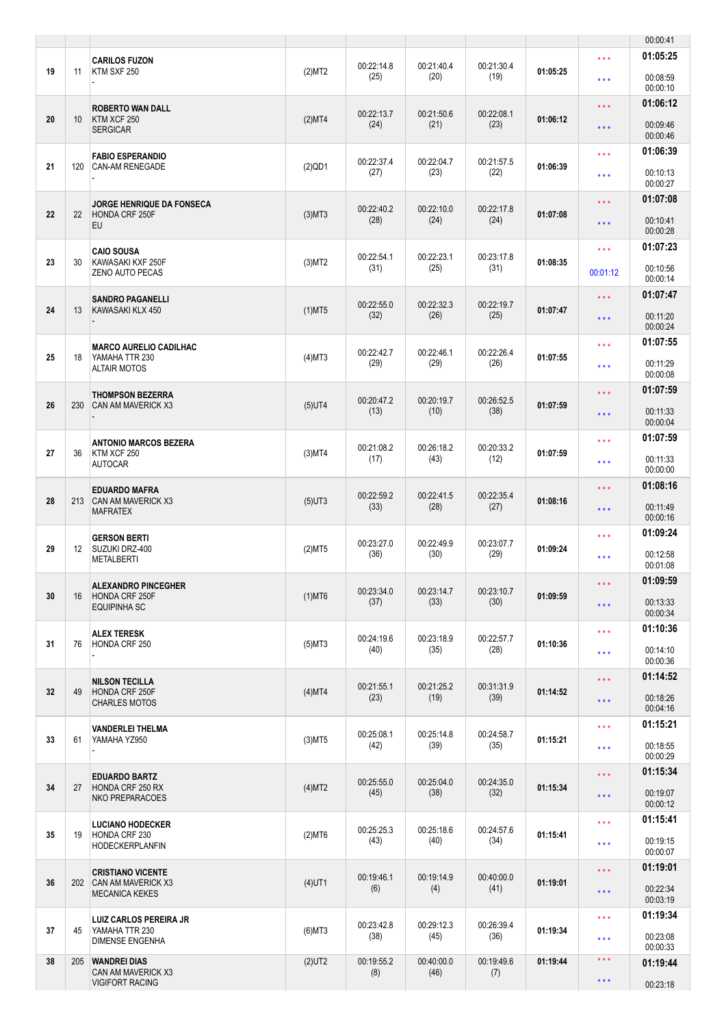|    |                   |                                                             |           |                    |                    |                    |          |                                                    | 00:00:41             |
|----|-------------------|-------------------------------------------------------------|-----------|--------------------|--------------------|--------------------|----------|----------------------------------------------------|----------------------|
| 19 | 11                | <b>CARILOS FUZON</b><br>KTM SXF 250                         | (2)MT2    | 00:22:14.8         | 00:21:40.4         | 00:21:30.4         | 01:05:25 | $\star \star \star$                                | 01:05:25             |
|    |                   |                                                             |           | (25)               | (20)               | (19)               |          | $***$                                              | 00:08:59<br>00:00:10 |
| 20 | 10 <sup>°</sup>   | <b>ROBERTO WAN DALL</b><br>KTM XCF 250                      | (2)MT4    | 00:22:13.7<br>(24) | 00:21:50.6<br>(21) | 00:22:08.1<br>(23) | 01:06:12 | $\star \star \star$<br>$\star$ $\star$ $\star$     | 01:06:12<br>00:09:46 |
|    |                   | <b>SERGICAR</b>                                             |           |                    |                    |                    |          |                                                    | 00:00:46<br>01:06:39 |
| 21 | 120               | <b>FABIO ESPERANDIO</b><br><b>CAN-AM RENEGADE</b>           | $(2)$ QD1 | 00:22:37.4<br>(27) | 00:22:04.7<br>(23) | 00:21:57.5<br>(22) | 01:06:39 | $\star \star \star$<br>$***$                       | 00:10:13<br>00:00:27 |
|    |                   | <b>JORGE HENRIQUE DA FONSECA</b>                            |           | 00:22:40.2         | 00:22:10.0         | 00:22:17.8         |          | $\star \star \star$                                | 01:07:08             |
| 22 | 22                | HONDA CRF 250F<br>EU                                        | $(3)$ MT3 | (28)               | (24)               | (24)               | 01:07:08 | $\star$ $\star$ $\star$                            | 00:10:41<br>00:00:28 |
| 23 | 30                | <b>CAIO SOUSA</b><br>KAWASAKI KXF 250F                      | $(3)$ MT2 | 00:22:54.1         | 00:22:23.1         | 00:23:17.8         | 01:08:35 | $\star \star \star$                                | 01:07:23             |
|    |                   | ZENO AUTO PECAS                                             |           | (31)               | (25)               | (31)               |          | 00:01:12                                           | 00:10:56<br>00:00:14 |
| 24 | 13                | <b>SANDRO PAGANELLI</b><br>KAWASAKI KLX 450                 | $(1)$ MT5 | 00:22:55.0         | 00:22:32.3         | 00:22:19.7         | 01:07:47 | $\star \star \star$                                | 01:07:47             |
|    |                   |                                                             |           | (32)               | (26)               | (25)               |          | $\star$ $\star$ $\star$                            | 00:11:20<br>00:00:24 |
| 25 | 18                | <b>MARCO AURELIO CADILHAC</b><br>YAMAHA TTR 230             | $(4)$ MT3 | 00:22:42.7         | 00:22:46.1         | 00:22:26.4         | 01:07:55 | $\star \star \star$                                | 01:07:55             |
|    |                   | <b>ALTAIR MOTOS</b>                                         |           | (29)               | (29)               | (26)               |          | $\star$ $\star$ $\star$                            | 00:11:29<br>00:00:08 |
| 26 | 230               | <b>THOMPSON BEZERRA</b><br>CAN AM MAVERICK X3               | $(5)$ UT4 | 00:20:47.2         | 00:20:19.7         | 00:26:52.5         | 01:07:59 | $\star \star \star$                                | 01:07:59             |
|    |                   |                                                             |           | (13)               | (10)               | (38)               |          | $\star$ $\star$ $\star$                            | 00:11:33<br>00:00:04 |
| 27 | 36                | <b>ANTONIO MARCOS BEZERA</b><br>KTM XCF 250                 | $(3)$ MT4 | 00:21:08.2         | 00:26:18.2         | 00:20:33.2         | 01:07:59 | $\star \star \star$                                | 01:07:59             |
|    |                   | <b>AUTOCAR</b>                                              |           | (17)               | (43)               | (12)               |          | $***$                                              | 00:11:33<br>00:00:00 |
| 28 | 213               | <b>EDUARDO MAFRA</b><br><b>CAN AM MAVERICK X3</b>           | $(5)$ UT3 | 00:22:59.2         | 00:22:41.5         | 00:22:35.4         | 01:08:16 | $\star \star \star$                                | 01:08:16<br>00:11:49 |
|    |                   | <b>MAFRATEX</b>                                             |           | (33)               | (28)               | (27)               |          | $***$                                              | 00:00:16             |
| 29 | $12 \overline{ }$ | <b>GERSON BERTI</b><br>SUZUKI DRZ-400                       | (2)MT5    | 00:23:27.0<br>(36) | 00:22:49.9<br>(30) | 00:23:07.7<br>(29) | 01:09:24 | $\star \star \star$                                | 01:09:24<br>00:12:58 |
|    |                   | <b>METALBERTI</b>                                           |           |                    |                    |                    |          | $\star \star \star$                                | 00:01:08<br>01:09:59 |
| 30 | 16                | <b>ALEXANDRO PINCEGHER</b><br>HONDA CRF 250F                | $(1)$ MT6 | 00:23:34.0<br>(37) | 00:23:14.7<br>(33) | 00:23:10.7<br>(30) | 01:09:59 | $\star \star \star$                                | 00:13:33             |
|    |                   | <b>EQUIPINHA SC</b>                                         |           |                    |                    |                    |          | $\star\star\star$                                  | 00:00:34             |
| 31 | 76                | <b>ALEX TERESK</b><br>HONDA CRF 250                         | $(5)$ MT3 | 00:24:19.6<br>(40) | 00:23:18.9<br>(35) | 00:22:57.7<br>(28) | 01:10:36 | $\star \star \star$<br>$\star \star \star$         | 01:10:36<br>00:14:10 |
|    |                   |                                                             |           |                    |                    |                    |          |                                                    | 00:00:36<br>01:14:52 |
| 32 | 49                | <b>NILSON TECILLA</b><br>HONDA CRF 250F                     | (4)MT4    | 00:21:55.1<br>(23) | 00:21:25.2<br>(19) | 00:31:31.9<br>(39) | 01:14:52 | $\star \star \star$<br>$\star$ $\star$ $\star$     | 00:18:26             |
|    |                   | <b>CHARLES MOTOS</b>                                        |           |                    |                    |                    |          |                                                    | 00:04:16<br>01:15:21 |
| 33 | 61                | VANDERLEI THELMA<br>YAMAHA YZ950                            | $(3)$ MT5 | 00:25:08.1<br>(42) | 00:25:14.8<br>(39) | 00:24:58.7<br>(35) | 01:15:21 | $\star \star \star$<br>$\star$ $\star$ $\star$     | 00:18:55             |
|    |                   |                                                             |           |                    |                    |                    |          |                                                    | 00:00:29<br>01:15:34 |
| 34 | 27                | <b>EDUARDO BARTZ</b><br>HONDA CRF 250 RX                    | (4)MT2    | 00:25:55.0<br>(45) | 00:25:04.0<br>(38) | 00:24:35.0<br>(32) | 01:15:34 | $\star \star \star$<br>$\star$ $\star$ $\star$     | 00:19:07             |
|    |                   | NKO PREPARACOES                                             |           |                    |                    |                    |          |                                                    | 00:00:12<br>01:15:41 |
| 35 | 19                | <b>LUCIANO HODECKER</b><br>HONDA CRF 230                    | $(2)$ MT6 | 00:25:25.3<br>(43) | 00:25:18.6<br>(40) | 00:24:57.6<br>(34) | 01:15:41 | $\star \star \star$<br>$\star \star \star$         | 00:19:15             |
|    |                   | HODECKERPLANFIN                                             |           |                    |                    |                    |          |                                                    | 00:00:07<br>01:19:01 |
| 36 | 202               | <b>CRISTIANO VICENTE</b><br><b>CAN AM MAVERICK X3</b>       | $(4)$ UT1 | 00:19:46.1<br>(6)  | 00:19:14.9<br>(4)  | 00:40:00.0<br>(41) | 01:19:01 | $\star$ $\star$ $\star$<br>$\star$ $\star$ $\star$ | 00:22:34             |
|    |                   | <b>MECANICA KEKES</b>                                       |           |                    |                    |                    |          |                                                    | 00:03:19<br>01:19:34 |
| 37 | 45                | LUIZ CARLOS PEREIRA JR<br>YAMAHA TTR 230<br>DIMENSE ENGENHA | $(6)$ MT3 | 00:23:42.8<br>(38) | 00:29:12.3<br>(45) | 00:26:39.4<br>(36) | 01:19:34 | $\star \star \star$<br>$\star$ $\star$ $\star$     | 00:23:08             |
| 38 | 205               | <b>WANDREI DIAS</b>                                         | $(2)$ UT2 | 00:19:55.2         | 00:40:00.0         | 00:19:49.6         | 01:19:44 | $\star$ $\star$ $\star$                            | 00:00:33<br>01:19:44 |
|    |                   | CAN AM MAVERICK X3<br><b>VIGIFORT RACING</b>                |           | (8)                | (46)               | (7)                |          | $\star$ $\star$ $\star$                            | 00:23:18             |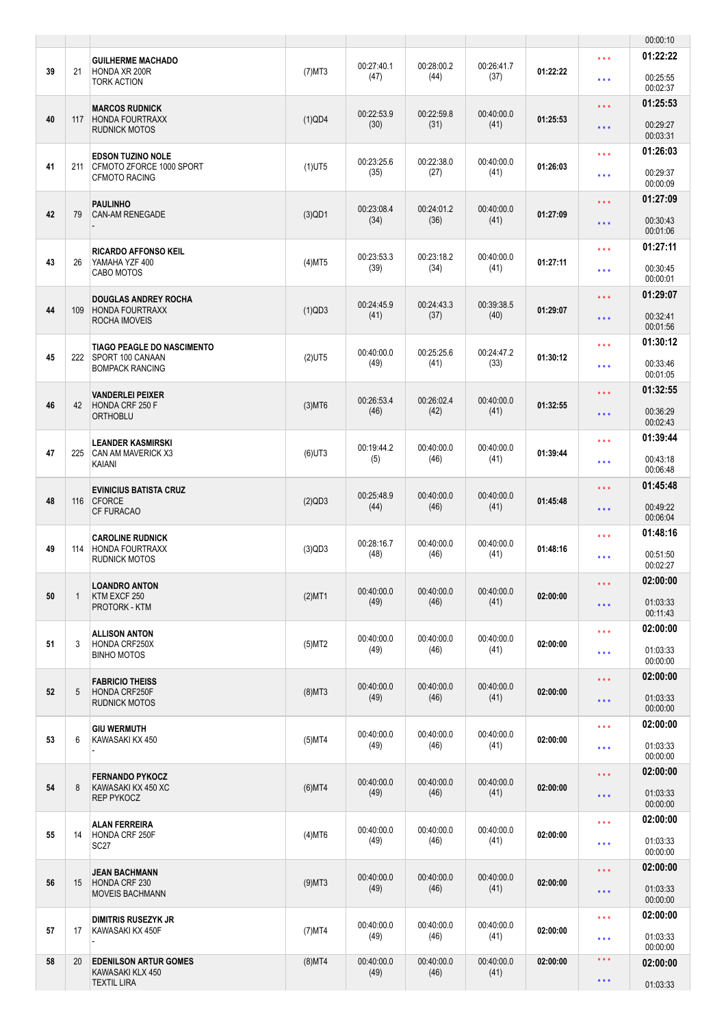|    |              |                                                                                 |           |                    |                    |                    |          |                                                | 00:00:10                                     |
|----|--------------|---------------------------------------------------------------------------------|-----------|--------------------|--------------------|--------------------|----------|------------------------------------------------|----------------------------------------------|
| 39 | 21           | <b>GUILHERME MACHADO</b><br><b>HONDA XR 200R</b><br><b>TORK ACTION</b>          | $(7)$ MT3 | 00:27:40.1<br>(47) | 00:28:00.2<br>(44) | 00:26:41.7<br>(37) | 01:22:22 | $\star \star \star$<br>$***$                   | 01:22:22<br>00:25:55<br>00:02:37             |
| 40 | 117          | <b>MARCOS RUDNICK</b><br><b>HONDA FOURTRAXX</b>                                 | $(1)$ QD4 | 00:22:53.9<br>(30) | 00:22:59.8<br>(31) | 00:40:00.0<br>(41) | 01:25:53 | $\star \star \star$                            | 01:25:53<br>00:29:27                         |
|    |              | RUDNICK MOTOS                                                                   |           |                    |                    |                    |          | $\star$ $\star$ $\star$<br>$***$               | 00:03:31<br>01:26:03                         |
| 41 | 211          | <b>EDSON TUZINO NOLE</b><br>CFMOTO ZFORCE 1000 SPORT<br><b>CFMOTO RACING</b>    | $(1)$ UT5 | 00:23:25.6<br>(35) | 00:22:38.0<br>(27) | 00:40:00.0<br>(41) | 01:26:03 | $\star \star \star$                            | 00:29:37<br>00:00:09                         |
| 42 | 79           | PAULINHO<br><b>CAN-AM RENEGADE</b>                                              | $(3)$ QD1 | 00:23:08.4<br>(34) | 00:24:01.2<br>(36) | 00:40:00.0<br>(41) | 01:27:09 | $\star \star \star$<br>$\star \star \star$     | 01:27:09<br>00:30:43<br>00:01:06             |
| 43 | 26           | <b>RICARDO AFFONSO KEIL</b><br>YAMAHA YZF 400<br>CABO MOTOS                     | $(4)$ MT5 | 00:23:53.3<br>(39) | 00:23:18.2<br>(34) | 00:40:00.0<br>(41) | 01:27:11 | $\star \star \star$<br>$\star \star \star$     | 01:27:11<br>00:30:45<br>00:00:01             |
| 44 | 109          | <b>DOUGLAS ANDREY ROCHA</b><br><b>HONDA FOURTRAXX</b><br>ROCHA IMOVEIS          | (1)QD3    | 00:24:45.9<br>(41) | 00:24:43.3<br>(37) | 00:39:38.5<br>(40) | 01:29:07 | $\star \star \star$<br>$\star$ $\star$ $\star$ | 01:29:07<br>00:32:41                         |
| 45 | 222          | <b>TIAGO PEAGLE DO NASCIMENTO</b><br>SPORT 100 CANAAN<br><b>BOMPACK RANCING</b> | $(2)$ UT5 | 00:40:00.0<br>(49) | 00:25:25.6<br>(41) | 00:24:47.2<br>(33) | 01:30:12 | $\star \star \star$<br>$\star \star \star$     | 00:01:56<br>01:30:12<br>00:33:46             |
| 46 | 42           | <b>VANDERLEI PEIXER</b><br>HONDA CRF 250 F<br><b>ORTHOBLU</b>                   | $(3)$ MT6 | 00:26:53.4<br>(46) | 00:26:02.4<br>(42) | 00:40:00.0<br>(41) | 01:32:55 | $\star \star \star$<br>$***$                   | 00:01:05<br>01:32:55<br>00:36:29             |
| 47 | 225          | <b>LEANDER KASMIRSKI</b><br><b>CAN AM MAVERICK X3</b><br>KAIANI                 | $(6)$ UT3 | 00:19:44.2<br>(5)  | 00:40:00.0<br>(46) | 00:40:00.0<br>(41) | 01:39:44 | $\star \star \star$<br>$\star \star \star$     | 00:02:43<br>01:39:44<br>00:43:18             |
| 48 | 116          | <b>EVINICIUS BATISTA CRUZ</b><br><b>CFORCE</b><br><b>CF FURACAO</b>             | $(2)$ QD3 | 00:25:48.9<br>(44) | 00:40:00.0<br>(46) | 00:40:00.0<br>(41) | 01:45:48 | $\star\star\star$<br>$***$                     | 00:06:48<br>01:45:48<br>00:49:22             |
| 49 | 114          | <b>CAROLINE RUDNICK</b><br><b>HONDA FOURTRAXX</b><br><b>RUDNICK MOTOS</b>       | (3)QD3    | 00:28:16.7<br>(48) | 00:40:00.0<br>(46) | 00:40:00.0<br>(41) | 01:48:16 | $***$<br>$\star \star \star$                   | 00:06:04<br>01:48:16<br>00:51:50             |
| 50 | $\mathbf{1}$ | <b>LOANDRO ANTON</b><br>KTM EXCF 250<br>PROTORK - KTM                           | $(2)$ MT1 | 00:40:00.0<br>(49) | 00:40:00.0<br>(46) | 00:40:00.0<br>(41) | 02:00:00 | $\star$ $\star$ $\star$<br>$\star\star\star$   | 00:02:27<br>02:00:00<br>01:03:33<br>00:11:43 |
| 51 | 3            | <b>ALLISON ANTON</b><br><b>HONDA CRF250X</b><br><b>BINHO MOTOS</b>              | (5)MT2    | 00:40:00.0<br>(49) | 00:40:00.0<br>(46) | 00:40:00.0<br>(41) | 02:00:00 | $\star \star \star$<br>$\star \star \star$     | 02:00:00<br>01:03:33<br>00:00:00             |
| 52 | 5            | <b>FABRICIO THEISS</b><br><b>HONDA CRF250F</b><br>RUDNICK MOTOS                 | $(8)$ MT3 | 00:40:00.0<br>(49) | 00:40:00.0<br>(46) | 00:40:00.0<br>(41) | 02:00:00 | $\star \star \star$<br>$\star$ $\star$ $\star$ | 02:00:00<br>01:03:33<br>00:00:00             |
| 53 | 6            | <b>GIU WERMUTH</b><br>KAWASAKI KX 450                                           | $(5)$ MT4 | 00:40:00.0<br>(49) | 00:40:00.0<br>(46) | 00:40:00.0<br>(41) | 02:00:00 | $\star \star \star$<br>$\star$ $\star$ $\star$ | 02:00:00<br>01:03:33<br>00:00:00             |
| 54 | 8            | <b>FERNANDO PYKOCZ</b><br>KAWASAKI KX 450 XC<br><b>REP PYKOCZ</b>               | $(6)$ MT4 | 00:40:00.0<br>(49) | 00:40:00.0<br>(46) | 00:40:00.0<br>(41) | 02:00:00 | $\star \star \star$<br>$\star\star\star$       | 02:00:00<br>01:03:33<br>00:00:00             |
| 55 | 14           | ALAN FERREIRA<br>HONDA CRF 250F<br><b>SC27</b>                                  | $(4)$ MT6 | 00:40:00.0<br>(49) | 00:40:00.0<br>(46) | 00:40:00.0<br>(41) | 02:00:00 | $\star \star \star$<br>$***$                   | 02:00:00<br>01:03:33                         |
| 56 | 15           | <b>JEAN BACHMANN</b><br>HONDA CRF 230<br><b>MOVEIS BACHMANN</b>                 | $(9)$ MT3 | 00:40:00.0<br>(49) | 00:40:00.0<br>(46) | 00:40:00.0<br>(41) | 02:00:00 | $\star\star\star$<br>$\star$ $\star$ $\star$   | 00:00:00<br>02:00:00<br>01:03:33<br>00:00:00 |
| 57 | 17           | DIMITRIS RUSEZYK JR<br>KAWASAKI KX 450F                                         | $(7)$ MT4 | 00:40:00.0<br>(49) | 00:40:00.0<br>(46) | 00:40:00.0<br>(41) | 02:00:00 | $\star \star \star$<br>$\star$ $\star$ $\star$ | 02:00:00<br>01:03:33                         |
| 58 | 20           | <b>EDENILSON ARTUR GOMES</b><br>KAWASAKI KLX 450                                | $(8)$ MT4 | 00:40:00.0<br>(49) | 00:40:00.0<br>(46) | 00:40:00.0<br>(41) | 02:00:00 | $\star$ $\star$ $\star$                        | 00:00:00<br>02:00:00                         |
|    |              | <b>TEXTIL LIRA</b>                                                              |           |                    |                    |                    |          | $\star$ $\star$ $\star$                        | 01:03:33                                     |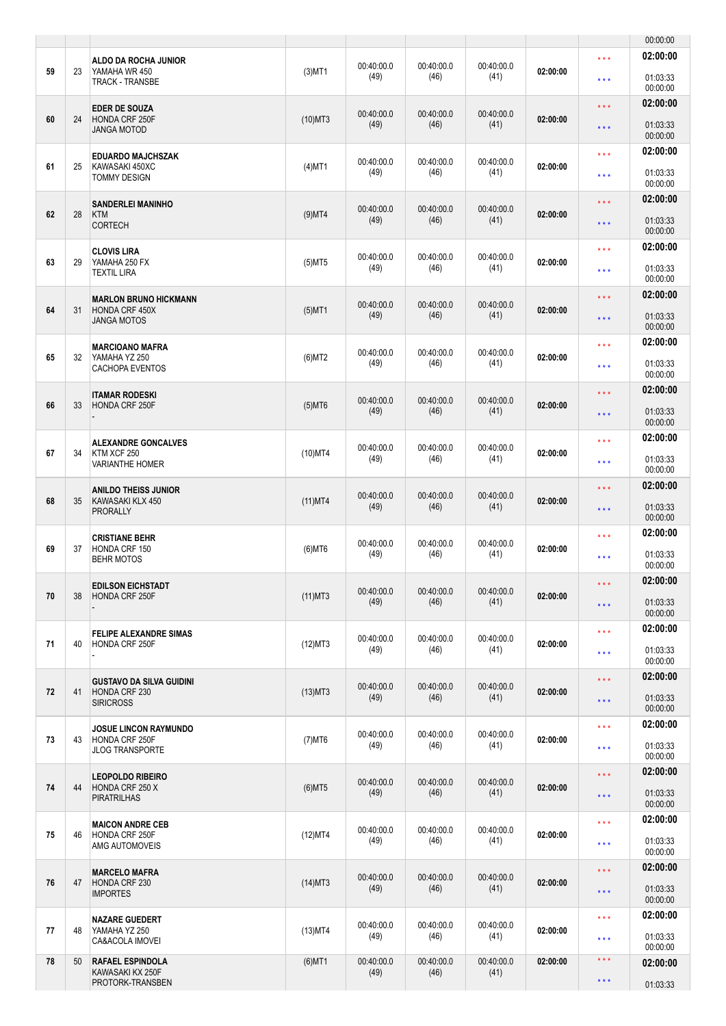|    |    |                                                                             |            |                    |                    |                    |          |                                                    | 00:00:00                         |
|----|----|-----------------------------------------------------------------------------|------------|--------------------|--------------------|--------------------|----------|----------------------------------------------------|----------------------------------|
| 59 | 23 | ALDO DA ROCHA JUNIOR<br>YAMAHA WR 450<br><b>TRACK - TRANSBE</b>             | $(3)$ MT1  | 00:40:00.0<br>(49) | 00:40:00.0<br>(46) | 00:40:00.0<br>(41) | 02:00:00 | $\star \star \star$<br>$***$                       | 02:00:00<br>01:03:33<br>00:00:00 |
| 60 | 24 | <b>EDER DE SOUZA</b><br>HONDA CRF 250F                                      | $(10)$ MT3 | 00:40:00.0         | 00:40:00.0         | 00:40:00.0         | 02:00:00 | $\star \star \star$                                | 02:00:00                         |
|    |    | JANGA MOTOD                                                                 |            | (49)               | (46)               | (41)               |          | $\star$ $\star$ $\star$                            | 01:03:33<br>00:00:00<br>02:00:00 |
| 61 | 25 | <b>EDUARDO MAJCHSZAK</b><br>KAWASAKI 450XC<br>TOMMY DESIGN                  | $(4)$ MT1  | 00:40:00.0<br>(49) | 00:40:00.0<br>(46) | 00:40:00.0<br>(41) | 02:00:00 | $\star \star \star$<br>$\star \star \star$         | 01:03:33<br>00:00:00             |
| 62 | 28 | <b>SANDERLEI MANINHO</b><br><b>KTM</b><br><b>CORTECH</b>                    | $(9)$ MT4  | 00:40:00.0<br>(49) | 00:40:00.0<br>(46) | 00:40:00.0<br>(41) | 02:00:00 | $\star \star \star$<br>$\star \star \star$         | 02:00:00<br>01:03:33             |
| 63 | 29 | <b>CLOVIS LIRA</b><br>YAMAHA 250 FX<br><b>TEXTIL LIRA</b>                   | $(5)$ MT5  | 00:40:00.0<br>(49) | 00:40:00.0<br>(46) | 00:40:00.0<br>(41) | 02:00:00 | $\star \star \star$<br>$\star \star \star$         | 00:00:00<br>02:00:00<br>01:03:33 |
| 64 | 31 | <b>MARLON BRUNO HICKMANN</b><br><b>HONDA CRF 450X</b><br><b>JANGA MOTOS</b> | $(5)$ MT1  | 00:40:00.0<br>(49) | 00:40:00.0<br>(46) | 00:40:00.0<br>(41) | 02:00:00 | $\star \star \star$<br>$\star$ $\star$ $\star$     | 00:00:00<br>02:00:00<br>01:03:33 |
|    |    | <b>MARCIOANO MAFRA</b>                                                      |            | 00:40:00.0         | 00:40:00.0         | 00:40:00.0         |          | $\star \star \star$                                | 00:00:00<br>02:00:00             |
| 65 | 32 | YAMAHA YZ 250<br>CACHOPA EVENTOS                                            | $(6)$ MT2  | (49)               | (46)               | (41)               | 02:00:00 | $***$                                              | 01:03:33<br>00:00:00             |
| 66 | 33 | ITAMAR RODESKI<br>HONDA CRF 250F                                            | $(5)$ MT6  | 00:40:00.0<br>(49) | 00:40:00.0<br>(46) | 00:40:00.0<br>(41) | 02:00:00 | $\star \star \star$<br>$\star$ $\star$ $\star$     | 02:00:00<br>01:03:33<br>00:00:00 |
| 67 | 34 | <b>ALEXANDRE GONCALVES</b><br>KTM XCF 250<br><b>VARIANTHE HOMER</b>         | $(10)$ MT4 | 00:40:00.0<br>(49) | 00:40:00.0<br>(46) | 00:40:00.0<br>(41) | 02:00:00 | $***$<br>$\star$ $\star$ $\star$                   | 02:00:00<br>01:03:33<br>00:00:00 |
| 68 | 35 | <b>ANILDO THEISS JUNIOR</b><br>KAWASAKI KLX 450<br><b>PRORALLY</b>          | $(11)$ MT4 | 00:40:00.0<br>(49) | 00:40:00.0<br>(46) | 00:40:00.0<br>(41) | 02:00:00 | $\star \star \star$<br>$\star \star \star$         | 02:00:00<br>01:03:33             |
|    |    | <b>CRISTIANE BEHR</b>                                                       |            | 00:40:00.0         | 00:40:00.0         | 00:40:00.0         |          | $***$                                              | 00:00:00<br>02:00:00             |
| 69 | 37 | HONDA CRF 150<br><b>BEHR MOTOS</b>                                          | $(6)$ MT6  | (49)               | (46)               | (41)               | 02:00:00 | $\star \star \star$                                | 01:03:33<br>00:00:00             |
| 70 | 38 | <b>EDILSON EICHSTADT</b><br>HONDA CRF 250F                                  | $(11)$ MT3 | 00:40:00.0<br>(49) | 00:40:00.0<br>(46) | 00:40:00.0<br>(41) | 02:00:00 | $\star$ $\star$ $\star$<br>$\star$ $\star$ $\star$ | 02:00:00<br>01:03:33<br>00:00:00 |
| 71 | 40 | <b>FELIPE ALEXANDRE SIMAS</b><br>HONDA CRF 250F                             | (12)MT3    | 00:40:00.0<br>(49) | 00:40:00.0<br>(46) | 00:40:00.0<br>(41) | 02:00:00 | $\star \star \star$<br>$\star$ $\star$ $\star$     | 02:00:00<br>01:03:33<br>00:00:00 |
| 72 | 41 | <b>GUSTAVO DA SILVA GUIDINI</b><br>HONDA CRF 230<br><b>SIRICROSS</b>        | $(13)$ MT3 | 00:40:00.0<br>(49) | 00:40:00.0<br>(46) | 00:40:00.0<br>(41) | 02:00:00 | $\star \star \star$<br>$\star$ $\star$ $\star$     | 02:00:00<br>01:03:33<br>00:00:00 |
| 73 | 43 | <b>JOSUE LINCON RAYMUNDO</b><br>HONDA CRF 250F<br><b>JLOG TRANSPORTE</b>    | $(7)$ MT6  | 00:40:00.0<br>(49) | 00:40:00.0<br>(46) | 00:40:00.0<br>(41) | 02:00:00 | $\star \star \star$<br>$\star$ $\star$ $\star$     | 02:00:00<br>01:03:33             |
| 74 | 44 | <b>LEOPOLDO RIBEIRO</b>                                                     |            | 00:40:00.0         | 00:40:00.0         | 00:40:00.0         | 02:00:00 | $\star \star \star$                                | 00:00:00<br>02:00:00             |
|    |    | HONDA CRF 250 X<br><b>PIRATRILHAS</b>                                       | $(6)$ MT5  | (49)               | (46)               | (41)               |          | $\star\star\star$                                  | 01:03:33<br>00:00:00<br>02:00:00 |
| 75 | 46 | <b>MAICON ANDRE CEB</b><br>HONDA CRF 250F<br>AMG AUTOMOVEIS                 | (12)MT4    | 00:40:00.0<br>(49) | 00:40:00.0<br>(46) | 00:40:00.0<br>(41) | 02:00:00 | $\star \star \star$<br>$\star \star \star$         | 01:03:33<br>00:00:00             |
| 76 | 47 | <b>MARCELO MAFRA</b><br>HONDA CRF 230<br><b>IMPORTES</b>                    | $(14)$ MT3 | 00:40:00.0<br>(49) | 00:40:00.0<br>(46) | 00:40:00.0<br>(41) | 02:00:00 | $\star\star\star$<br>$\star$ $\star$ $\star$       | 02:00:00<br>01:03:33<br>00:00:00 |
| 77 | 48 | <b>NAZARE GUEDERT</b><br>YAMAHA YZ 250                                      | $(13)$ MT4 | 00:40:00.0         | 00:40:00.0         | 00:40:00.0         | 02:00:00 | $\star \star \star$                                | 02:00:00                         |
|    |    | CA&ACOLA IMOVEI                                                             |            | (49)               | (46)               | (41)               |          | $\star$ $\star$ $\star$                            | 01:03:33<br>00:00:00             |
| 78 | 50 | <b>RAFAEL ESPINDOLA</b><br>KAWASAKI KX 250F<br>PROTORK-TRANSBEN             | $(6)$ MT1  | 00:40:00.0<br>(49) | 00:40:00.0<br>(46) | 00:40:00.0<br>(41) | 02:00:00 | $\star$ $\star$ $\star$<br>$\star$ $\star$ $\star$ | 02:00:00<br>01:03:33             |